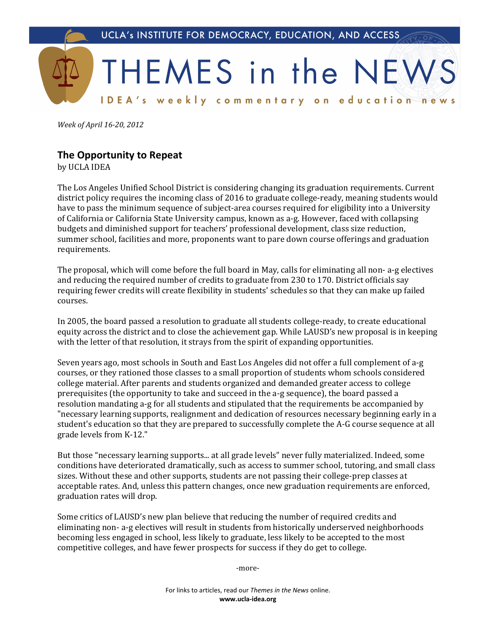

*Week of April 16-20, 2012* 

## **The.Opportunity.to.Repeat**

by UCLA IDEA

The Los Angeles Unified School District is considering changing its graduation requirements. Current district policy requires the incoming class of 2016 to graduate college-ready, meaning students would have to pass the minimum sequence of subject-area courses required for eligibility into a University of California or California State University campus, known as a-g. However, faced with collapsing budgets and diminished support for teachers' professional development, class size reduction, summer school, facilities and more, proponents want to pare down course offerings and graduation requirements.

The proposal, which will come before the full board in May, calls for eliminating all non- a-g electives and reducing the required number of credits to graduate from 230 to 170. District officials say requiring fewer credits will create flexibility in students' schedules so that they can make up failed courses.

In 2005, the board passed a resolution to graduate all students college-ready, to create educational equity across the district and to close the achievement gap. While LAUSD's new proposal is in keeping with the letter of that resolution, it strays from the spirit of expanding opportunities.

Seven years ago, most schools in South and East Los Angeles did not offer a full complement of a-g courses, or they rationed those classes to a small proportion of students whom schools considered college material. After parents and students organized and demanded greater access to college prerequisites (the opportunity to take and succeed in the a-g sequence), the board passed a resolution mandating a-g for all students and stipulated that the requirements be accompanied by "necessary learning supports, realignment and dedication of resources necessary beginning early in a student's education so that they are prepared to successfully complete the A-G course sequence at all grade levels from K-12."

But those "necessary learning supports... at all grade levels" never fully materialized. Indeed, some conditions have deteriorated dramatically, such as access to summer school, tutoring, and small class sizes. Without these and other supports, students are not passing their college-prep classes at acceptable rates. And, unless this pattern changes, once new graduation requirements are enforced, graduation rates will drop.

Some critics of LAUSD's new plan believe that reducing the number of required credits and eliminating non- a-g electives will result in students from historically underserved neighborhoods becoming less engaged in school, less likely to graduate, less likely to be accepted to the most competitive colleges, and have fewer prospects for success if they do get to college.

-more-